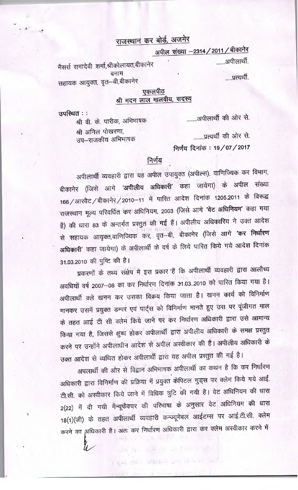## राजस्थान कर बोर्ड, अजमेर

अपील संख्या -2314 / 2011 / बीकानेर

.......अपीलार्थी.

.....प्रत्यर्थी.

मैसर्स रामादेवी शर्मा,श्रीकोलायत,बीकानेर बनाम सहायक आयुक्त, वृत–बी,बीकानेर

#### एकलपीठ श्री मदन लाल मालवीय, सदस्य

........अपीलार्थी की ओर से.

श्री वी. के. पारीक, अभिभाषक श्री अनिल पोखरणा, उप–राजकीय अभिभाषक

उपस्थित ::

........प्रत्यर्थी की ओर से.

निर्णय दिनांक: 19/07/2017

### निर्णय

अपीलार्थी व्यवहारी द्वारा यह अपील उपायुक्त (अपील्स), वाणिज्यिक कर विभाग, बीकानेर (जिसे आगे 'अपीलीय अधिकारी' कहा जायेगा) के अपील संख्या 166 / आरवैट / बीकानेर / 2010-11 में पारित आदेश दिनांक 1205.2011 के विरूद्ध राजस्थान मूल्य परिवर्धित कर अधिनियम, 2003 (जिसे आगे 'वेट अधिनियम' कहा गया है) की धारा 83 के अन्तर्गत प्रस्तुत की गई हैं। अपीलीय अधिकारिय ने उक्त आदेश से सहायक आयृक्त,वाणिज्यिक कर, वृत—बी, बीकानेर (जिसे आगे **'कर निर्धारण** अधिकारी' कहा जायेगा) के अपीलार्थी के वर्ष के लिये पारित किये गये आदेश दिनांक 31.03.2010 की पुष्टि की है।

प्रकरणों के तथ्य संक्षेप में इस प्रकार हैं कि अपीलार्थी व्यवहारी द्वारा आलौच्य अवधियों वर्ष 2007-08 का कर निर्धारण दिनांक 31.03..2010 को पारित किया गया है। अपीलार्थी क्ले खनन कर उसका विक्रय किया जाता है। खनन कार्य को विनिर्माण मानकर उसमें प्रयुक्त डम्पर एवं पार्ट्स को विनिर्माण मानते हुए उस पर पूंजीगत माल के तहत आई टी सी क्लेम किये जाने पर कर निर्धारण अधिकारी द्वारा उसे आमान्य किया गया है, जिससे क्षुब्ध होकर अपीलार्थी द्वारा अपीलीय अधिकारी के समक्ष प्रस्तुत करने पर उन्होंने अपीलाधीन आदेश से अपील अस्वीकार की है। अपीलीय अधिकारी के

उक्त आदेश से व्यथित होकर अपीलार्थी द्वारा यह अपील प्रस्तुत की गई है। अपलार्थी की ओर से विद्वान अभिभाषक अपीलार्थी का कथन है कि कर निर्धारण अधिकारी द्वारा विनिर्माण की प्रक्रिया में प्रयुक्त केपिटल गुड्स पर क्लेम किये गये आई. टी.सी. को अस्वीकार किये जाने में विधिक त्रुटि की गयी है। वेट अधिनियम की धारा 2(22) में दी गयी मैन्यूफैक्चर की परिभाषा के अनुसार वेट अधिनियम की धारा 18(1)(जी) के तहत अपीलार्थी व्यवहारी कन्ज्यूमेबल आईटम्स पर आई.टी.सी. क्लेम करने का अधिकारी है। अतः कर निर्धारण अधिकारी द्वारा कर क्लेम अस्वीकार करने में ्रेण<sub>्</sub>त को वि<sup>ति</sup> रोन

满脸颜色的意识 记号的 明

। युब्द डॉकर अपाली में बाल आपले का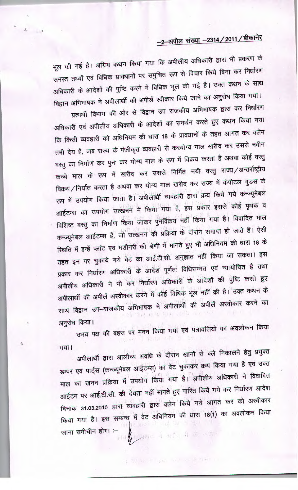# -2-अपील संख्या -2314 / 2011 / बीकानेर

भूल की गई है। अग्रिम कथन किया गया कि अपीलीय अधिकारी द्वारा भी प्रकरण के समस्त तथ्यों एवं विधिक प्रावधानों पर समुचित रूप से विचार किये बिना कर निर्धारण अधिकारी के आदेशों की पुष्टि करने में विधिक भूल की गई है। उक्त कथन के साथ विद्वान अभिभाषक ने अपीलार्थी की अपीलें स्वीकार किये जाने का अनुरोध किया गया। प्रत्यर्थी विभाग की ओर से विद्वान उप राजकीय अभिभाषक द्वारा कर निर्धारण अधिकारी एवं अपीलीय अधिकारी के आदेशों का समर्थन करते हुए कथन किया गया कि किसी व्यवहारी को अधिनियम की धारा 18 के प्रावधानों के तहत आगत कर क्लेम तभी देय है, जब राज्य के पंजीकृत व्यवहारी से करयोग्य माल खरीद कर उससे नवीन वस्तु का निर्माण कर पुनः कर योग्य माल के रूप में विक्रय करता है अथवा कोई वस्तु कच्चे माल के रूप में खरीद कर उससे निर्मित नयी वस्तु राज्य /अन्तर्राष्ट्रीय विक्रय/निर्यात करता है अथवा कर योग्य माल खरीद कर राज्य में केपीटल गुडस के रूप में उपयोग किया जाता है। अपीलार्थी व्यवहारी द्वारा क्रय किये गये कन्ज्यूमेबल आईटम्स का उपयोग उत्खनन में किया गया है, इस प्रकार इससे कोई पृथक व विशिष्ट वस्तु का निर्माण किया जाकर पुनर्विक्रय नहीं किया गया है। विवादित माल कन्ज्यूमेबल आईटम्स हैं, जो उत्खनन की प्रक्रिया के दौरान समाप्त हो जाते हैं। ऐसी स्थिति में इन्हें प्लांट एवं मशीनरी की श्रेणी में मानते हुए भी अधिनियम की धारा 18 के तहत इन पर चुकाये गये वेट का आई.टी.सी. अनुज्ञात नहीं किया जा सकता। इस प्रकार कर निर्धारण अधिकारी के आदेश पूर्णतः विधिसम्मत एवं न्यायोचित है तथा अपीलीय अधिकारी ने भी कर निर्धारण अधिकारी के आंदेशों की पुष्टि करते हुए अपीलार्थी की अपीलें अस्वीकार करने में कोई विधिक भूल नहीं की है। उक्त कथन के साथ विद्वान उप–राजकीय अभिभाषक ने अपीलार्थी की अपीलें अस्वीकार करने का अनुरोध किया।

 $\mathcal{A}_{\mathrm{eff}}$ 

Ġ

उभय पक्ष की बहस पर मनन किया गया एवं पत्रावलियों का अवलोकन किया गया।

अपीलार्थी द्वारा आलौच्य अवधि के दौरान खानों से क्ले निकालने हेतु प्रयुक्त डम्पर एवं पार्ट्स (कन्ज्यूमेबल आईटम्स) का वेट चुकाकर क्रय किया गया है एवं उक्त माल का खनन प्रक्रिया में उपयोग किया गया है। अपीलीय अधिकारी ने विवादित आईटम पर आई.टी.सी. की देयता नहीं मानते हुए पारित किये गये कर निर्धारण आदेश दिनांक 31.03.2010 द्वारा व्यवहारी द्वारा क्लेम किये गये आगत कर को अस्वीकार किया गया है। इस सम्बन्ध में वेट अधिनियम की धारा 18(1) का अवलोकन किया そ 身体 ( ) 112 जाना समीचीन होगा :--神仙 年出九 每 六 四、

(1) 10 平均(1) 11 元/ 2014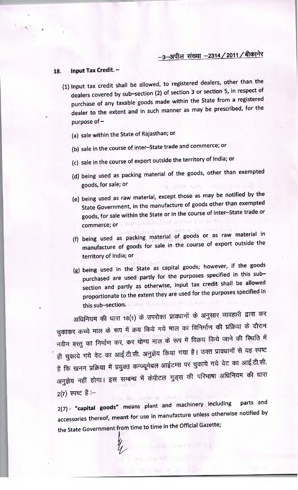#### **18. Input Tax Credit.** -

- (1) Input tax credit shall be allowed, to registered dealers, other than the dealers covered by sub—section (2) of section 3 or section 5, in respect of purchase of any taxable goods made within the State from a registered dealer to the extent and in such manner as may be prescribed, for the purpose of—
	- (a) sale within the State of Rajasthan; or
	- (b) sale in the course of inter—State trade and commerce; or
	- (c) sale in the course of export outside the territory of India; or
	- (d) being used as packing material of the goods, other than exempted goods, for sale; or
	- (e) being used as raw material, except those as may be notified by the State Government, in the manufacture of goods other than exempted goods, for sale within the State or in the course of inter—State trade or sup-section (2) of vehicle 3 or s commerce; or
	- (f) being used as packing material of goods or as raw material in manufacture of goods for sale in the course of export outside the territory of India; or
	- (g) being used in the State as capital goods; however, if the goods purchased are used partly for the purposes specified in this subsection and partly as otherwise, input tax credit shall be allowed proportionate to the extent they are used for the purposes specified in this sub-section. Schlag mass not of the spanne

अधिनियम की धारा 18(1) के उपरोक्त प्रावधानों के अनुसार व्यवहारी द्वारा कर जायानचन का तारा ग्लाहरू<br>चुकाकर कच्चे माल के रूप में क्रय किये गये माल का विनिर्माण की प्रक्रिया के दौरान चुकाकर कथ्य गौरा के रहना है।<br>नवीन वस्तु का निर्माण कर, कर योग्य माल के रूप में विक्रय किये जाने की स्थिति में नवान वरतु का नाना मन्द्र<br>ही चुकाये गये वेट का आई.टी.सी. अनुज्ञेय किया गया है। उक्त प्रावधानों से यह स्पष्ट हा युकांचे गंव बैठ को आई.<br>हे कि खनन प्रक्रिया में प्रयुक्त कन्ज्यूमेबल आईटम्स पर चुकाये गये वेट का आई.टी.सी. अनुज्ञेय नहीं होगा। इस सम्बन्ध में केपीटल गुड्स की परिभाषा अधिनियम की धारा<br>2(7) स्पष्ट है :–

2(7) - **"capital goods"** means plant and machinery including parts and accessories thereof, meant for use in manufacture unless otherwise notified by the State Government from time to time in the Official Gazette;

We all standard to the same

an a may virging the summer and

250 21 31 31 31 32 33 34 35